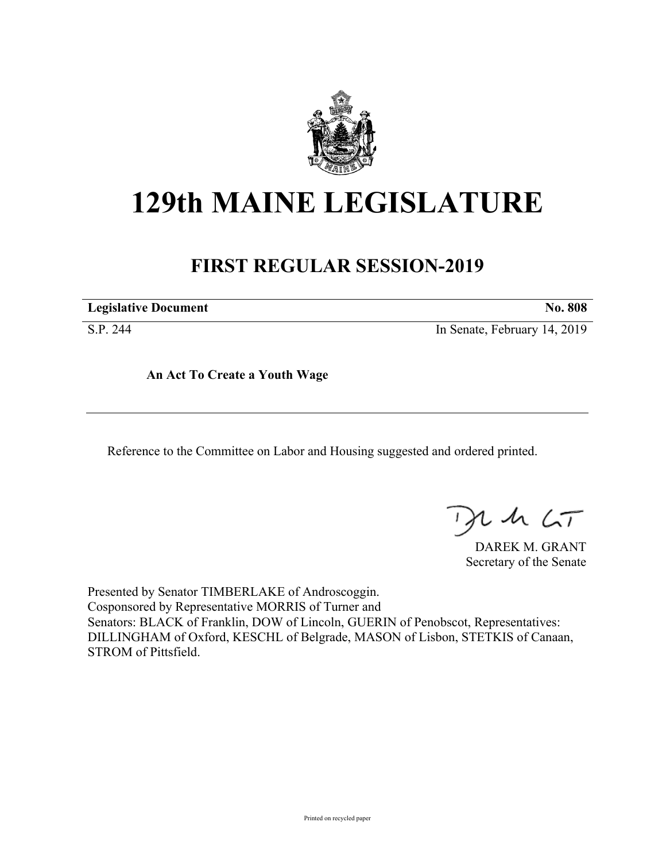

## **129th MAINE LEGISLATURE**

## **FIRST REGULAR SESSION-2019**

**Legislative Document No. 808**

S.P. 244 In Senate, February 14, 2019

**An Act To Create a Youth Wage**

Reference to the Committee on Labor and Housing suggested and ordered printed.

, in  $\zeta$ T

DAREK M. GRANT Secretary of the Senate

Presented by Senator TIMBERLAKE of Androscoggin. Cosponsored by Representative MORRIS of Turner and Senators: BLACK of Franklin, DOW of Lincoln, GUERIN of Penobscot, Representatives: DILLINGHAM of Oxford, KESCHL of Belgrade, MASON of Lisbon, STETKIS of Canaan, STROM of Pittsfield.